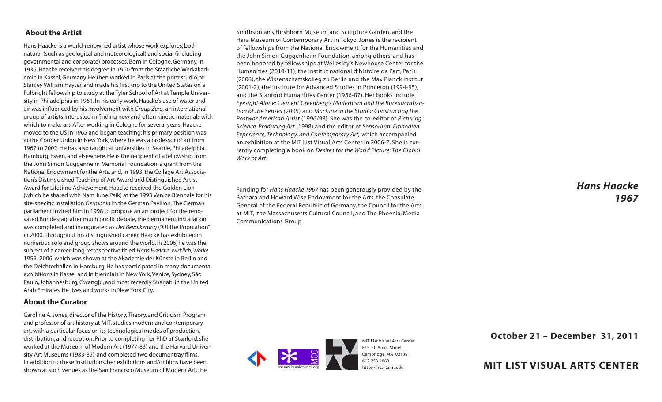## **About the Artist**

Hans Haacke is a world-renowned artist whose work explores, both natural (such as geological and meteorological) and social (including governmental and corporate) processes. Born in Cologne, Germany, in 1936, Haacke received his degree in 1960 from the Staatliche Werkakademie in Kassel, Germany. He then worked in Paris at the print studio of Stanley William Hayter, and made his first trip to the United States on a Fulbright fellowship to study at the Tyler School of Art at Temple University in Philadelphia in 1961. In his early work, Haacke's use of water and air was influenced by his involvement with *Group Zero,* an international group of artists interested in finding new and often kinetic materials with which to make art. After working in Cologne for several years, Haacke moved to the US in 1965 and began teaching; his primary position was at the Cooper Union in New York, where he was a professor of art from 1967 to 2002. He has also taught at universities in Seattle, Philadelphia, Hamburg, Essen, and elsewhere. He is the recipient of a fellowship from the John Simon Guggenheim Memorial Foundation, a grant from the National Endowment for the Arts, and, in 1993, the College Art Association's Distinguished Teaching of Art Award and Distinguished Artist Award for Lifetime Achievement. Haacke received the Golden Lion (which he shared with Nam June Paik) at the 1993 Venice Biennale for his site-specific installation *Germania* in the German Pavilion.The German parliament invited him in 1998 to propose an art project for the renovated Bundestag; after much public debate, the permanent installation was completed and inaugurated as *Der Bevolkerung* ("Of the Population") in 2000.Throughout his distinguished career, Haacke has exhibited in numerous solo and group shows around the world. In 2006, he was the subject of a career-long retrospective titled *Hans Haacke: wirklich,Werke*  1959–2006, which was shown at the Akademie der Künste in Berlin and the Deichtorhallen in Hamburg. He has participated in many documenta exhibitions in Kassel and in biennials in New York,Venice, Sydney, São Paulo, Johannesburg, Gwangju, and most recently Sharjah, in the United Arab Emirates. He lives and works in New York City.

#### **About the Curator**

Caroline A. Jones, director of the History,Theory, and Criticism Program and professor of art history at MIT, studies modern and contemporary art, with a particular focus on its technological modes of production, distribution, and reception. Prior to completing her PhD at Stanford, she worked at the Museum of Modern Art (1977-83) and the Harvard University Art Museums (1983-85), and completed two documentray films. In addition to these institutions, her exhibitions and/or films have been shown at such venues as the San Francisco Museum of Modern Art, the

Smithsonian's Hirshhorn Museum and Sculpture Garden, and the Hara Museum of Contemporary Art in Tokyo. Jones is the recipient of fellowships from the National Endowment for the Humanities and the John Simon Guggenheim Foundation, among others, and has been honored by fellowships at Wellesley's Newhouse Center for the Humanities (2010-11), the Institut national d'histoire de l'art, Paris (2006), the Wissenschaftskolleg zu Berlin and the Max Planck Institut (2001-2), the Institute for Advanced Studies in Princeton (1994-95), and the Stanford Humanities Center (1986-87). Her books include *Eyesight Alone: Clement Greenberg's Modernism and the Bureaucratization of the Senses (*2005) and *Machine in the Studio: Constructing the Postwar American Artist* (1996/98). She was the co-editor of *Picturing Science, Producing Art* (1998) and the editor of *Sensorium: Embodied Experience, Technology, and Contemporary Art,* which accompanied an exhibition at the MIT List Visual Arts Center in 2006-7. She is currently completing a book on *Desires for the World Picture: The Global Work of Art.*

Funding for *Hans Haacke 1967* has been generously provided by the Barbara and Howard Wise Endowment for the Arts, the Consulate General of the Federal Republic of Germany, the Council for the Arts at MIT, the Massachusetts Cultural Council, and The Phoenix/Media Communications Group



**October 21 – December 31, 2011**

*Hans Haacke*

*1967*

# **MIT LIST VISUAL ARTS CENTER**